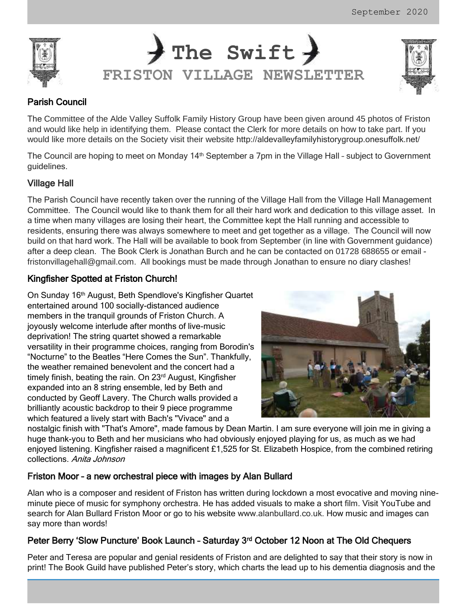



# Parish Council

The Committee of the Alde Valley Suffolk Family History Group have been given around 45 photos of Friston and would like help in identifying them. Please contact the Clerk for more details on how to take part. If you would like more details on the Society visit their website <http://aldevalleyfamilyhistorygroup.onesuffolk.net/>

The Council are hoping to meet on Monday 14<sup>th</sup> September a 7pm in the Village Hall - subject to Government guidelines.

## Village Hall

The Parish Council have recently taken over the running of the Village Hall from the Village Hall Management Committee. The Council would like to thank them for all their hard work and dedication to this village asset. In a time when many villages are losing their heart, the Committee kept the Hall running and accessible to residents, ensuring there was always somewhere to meet and get together as a village. The Council will now build on that hard work. The Hall will be available to book from September (in line with Government guidance) after a deep clean. The Book Clerk is Jonathan Burch and he can be contacted on 01728 688655 or email [fristonvillagehall@gmail.com](mailto:fristonvillagehall@gmail.com). All bookings must be made through Jonathan to ensure no diary clashes!

# Kingfisher Spotted at Friston Church!

On Sunday 16th August, Beth Spendlove's Kingfisher Quartet entertained around 100 socially-distanced audience members in the tranquil grounds of Friston Church. A joyously welcome interlude after months of live-music deprivation! The string quartet showed a remarkable versatility in their programme choices, ranging from Borodin's "Nocturne" to the Beatles "Here Comes the Sun". Thankfully, the weather remained benevolent and the concert had a timely finish, beating the rain. On 23<sup>rd</sup> August, Kingfisher expanded into an 8 string ensemble, led by Beth and conducted by Geoff Lavery. The Church walls provided a brilliantly acoustic backdrop to their 9 piece programme which featured a lively start with Bach's "Vivace" and a



nostalgic finish with "That's Amore", made famous by Dean Martin. I am sure everyone will join me in giving a huge thank-you to Beth and her musicians who had obviously enjoyed playing for us, as much as we had enjoyed listening. Kingfisher raised a magnificent £1,525 for St. Elizabeth Hospice, from the combined retiring collections. Anita Johnson

# Friston Moor – a new orchestral piece with images by Alan Bullard

Alan who is a composer and resident of Friston has written during lockdown a most evocative and moving nineminute piece of music for symphony orchestra. He has added visuals to make a short film. Visit YouTube and search for Alan Bullard Friston Moor or go to his website [www.alanbullard.co.uk.](http://www.alanbullard.co.uk/) How music and images can say more than words!

# Peter Berry 'Slow Puncture' Book Launch - Saturday 3<sup>rd</sup> October 12 Noon at The Old Chequers

Peter and Teresa are popular and genial residents of Friston and are delighted to say that their story is now in print! The Book Guild have published Peter's story, which charts the lead up to his dementia diagnosis and the